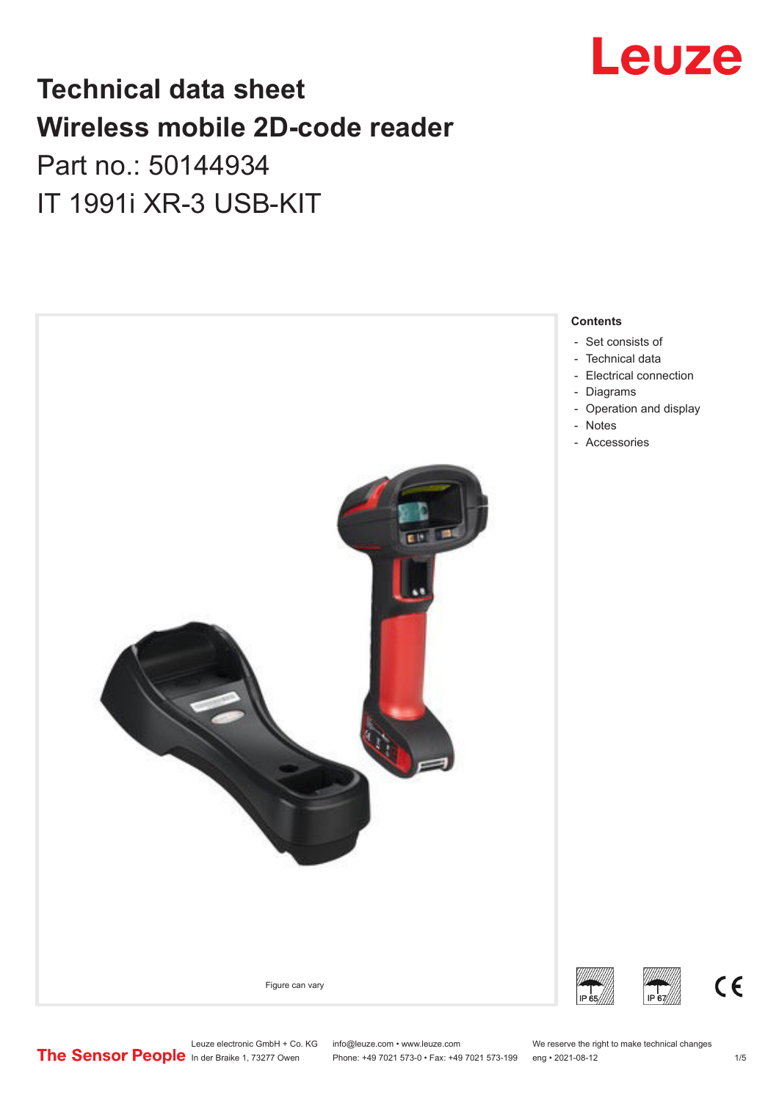

# **Technical data sheet Wireless mobile 2D-code reader**

# Part no.: 50144934 IT 1991i XR-3 USB-KIT



Leuze electronic GmbH + Co. KG info@leuze.com • www.leuze.com We reserve the right to make technical changes<br>
The Sensor People in der Braike 1, 73277 Owen Phone: +49 7021 573-0 • Fax: +49 7021 573-199 eng • 2021-08-12 Phone: +49 7021 573-0 • Fax: +49 7021 573-199 eng • 2021-08-12

 $\epsilon$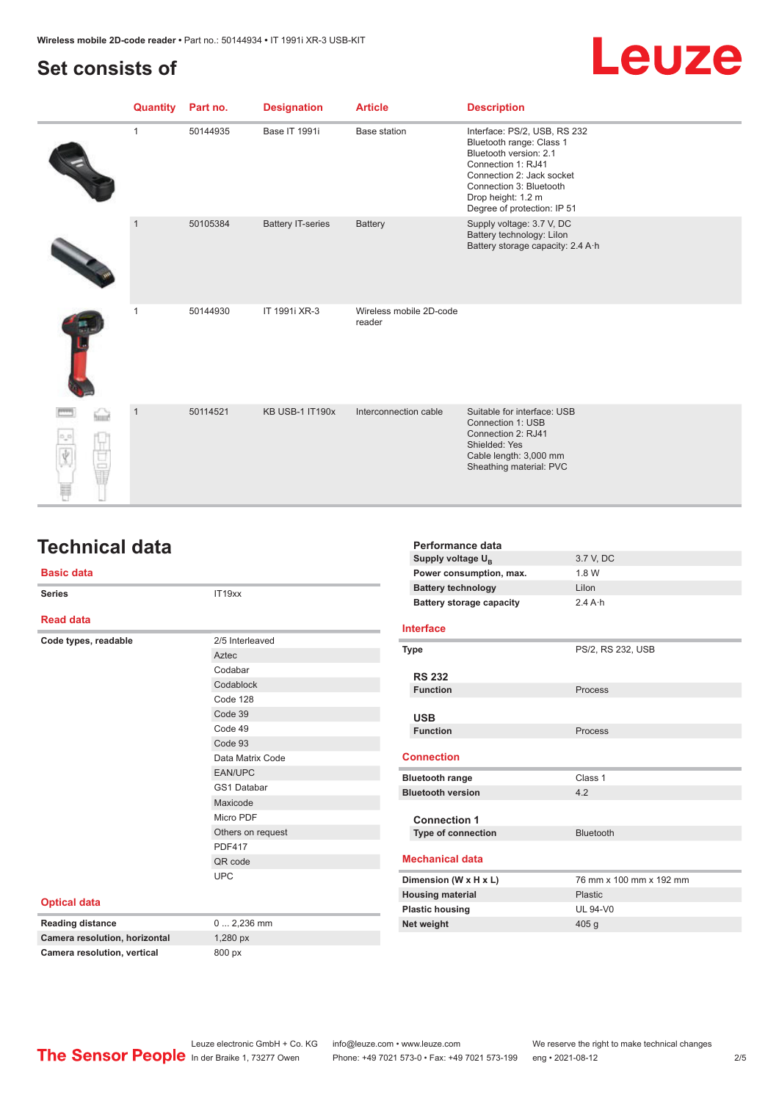## <span id="page-1-0"></span>**Set consists of**



| <b>Quantity</b> | Part no. | <b>Designation</b>       | <b>Article</b>                    | <b>Description</b>                                                                                                                                                                                                    |
|-----------------|----------|--------------------------|-----------------------------------|-----------------------------------------------------------------------------------------------------------------------------------------------------------------------------------------------------------------------|
| 1               | 50144935 | Base IT 1991i            | <b>Base station</b>               | Interface: PS/2, USB, RS 232<br>Bluetooth range: Class 1<br>Bluetooth version: 2.1<br>Connection 1: RJ41<br>Connection 2: Jack socket<br>Connection 3: Bluetooth<br>Drop height: 1.2 m<br>Degree of protection: IP 51 |
| $\mathbf{1}$    | 50105384 | <b>Battery IT-series</b> | <b>Battery</b>                    | Supply voltage: 3.7 V, DC<br>Battery technology: Lilon<br>Battery storage capacity: 2.4 A·h                                                                                                                           |
|                 | 50144930 | IT 1991i XR-3            | Wireless mobile 2D-code<br>reader |                                                                                                                                                                                                                       |
| $\overline{1}$  | 50114521 | <b>KB USB-1 IT190x</b>   | Interconnection cable             | Suitable for interface: USB<br>Connection 1: USB<br>Connection 2: RJ41<br>Shielded: Yes<br>Cable length: 3,000 mm<br>Sheathing material: PVC                                                                          |

## **Technical data**

#### **Basic data**

| <b>Series</b>                 | IT19xx                       | <b>Battery technology</b>       | Lilon                   |  |
|-------------------------------|------------------------------|---------------------------------|-------------------------|--|
|                               |                              | <b>Battery storage capacity</b> | $2.4A \cdot h$          |  |
| <b>Read data</b>              |                              | <b>Interface</b>                |                         |  |
| Code types, readable          | 2/5 Interleaved              | <b>Type</b>                     | PS/2, RS 232, USB       |  |
|                               | Aztec                        |                                 |                         |  |
|                               | Codabar                      | <b>RS 232</b>                   |                         |  |
|                               | Codablock<br><b>Function</b> |                                 | Process                 |  |
|                               | Code 128                     |                                 |                         |  |
|                               | Code 39                      | <b>USB</b>                      |                         |  |
|                               | Code 49                      | <b>Function</b>                 | Process                 |  |
|                               | Code 93                      |                                 |                         |  |
|                               | Data Matrix Code             | <b>Connection</b>               |                         |  |
|                               | EAN/UPC                      | <b>Bluetooth range</b>          | Class 1                 |  |
|                               | GS1 Databar                  | <b>Bluetooth version</b>        | 4.2                     |  |
|                               | Maxicode                     |                                 |                         |  |
|                               | Micro PDF                    | <b>Connection 1</b>             |                         |  |
|                               | Others on request            | Type of connection              | Bluetooth               |  |
|                               | <b>PDF417</b>                |                                 |                         |  |
|                               | QR code                      | <b>Mechanical data</b>          |                         |  |
|                               | <b>UPC</b>                   | Dimension (W x H x L)           | 76 mm x 100 mm x 192 mm |  |
|                               |                              | <b>Housing material</b>         | Plastic                 |  |
| <b>Optical data</b>           |                              | <b>Plastic housing</b>          | <b>UL 94-V0</b>         |  |
| <b>Reading distance</b>       | $0 2,236$ mm                 | Net weight                      | 405 g                   |  |
| Camera resolution, horizontal | 1,280 px                     |                                 |                         |  |
| Camera resolution, vertical   | 800 px                       |                                 |                         |  |

**Performance data** Supply voltage  $U_B$ 

**Power consumption, max.** 1.8 W

3.7 V, DC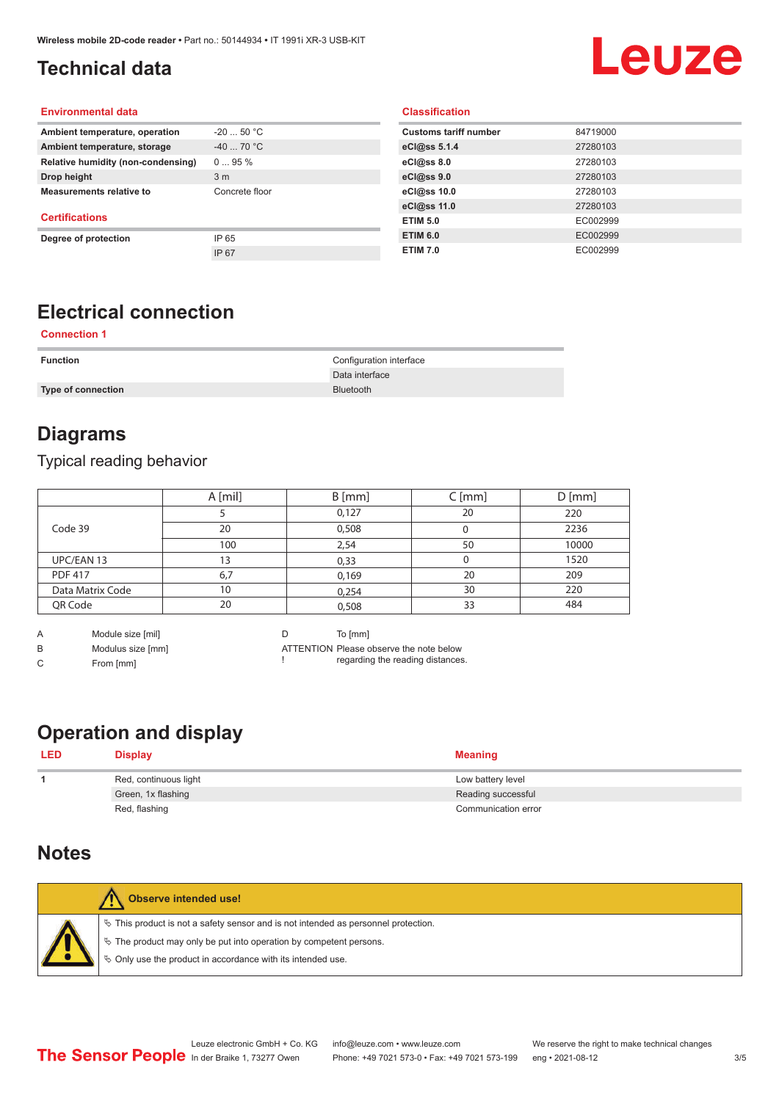# <span id="page-2-0"></span>**Technical data**

# Leuze

#### **Environmental data**

| Ambient temperature, operation     | $-2050 °C$     |
|------------------------------------|----------------|
| Ambient temperature, storage       | $-40$ 70 °C    |
| Relative humidity (non-condensing) | $095\%$        |
| Drop height                        | 3 <sub>m</sub> |
| <b>Measurements relative to</b>    | Concrete floor |
| <b>Certifications</b>              |                |
| Degree of protection               | IP 65          |
|                                    | IP 67          |

#### **Classification**

| <b>Customs tariff number</b> | 84719000 |
|------------------------------|----------|
| eCl@ss 5.1.4                 | 27280103 |
| eCl@ss 8.0                   | 27280103 |
| eCl@ss 9.0                   | 27280103 |
| eCl@ss 10.0                  | 27280103 |
| eCl@ss 11.0                  | 27280103 |
| <b>ETIM 5.0</b>              | EC002999 |
| <b>ETIM 6.0</b>              | EC002999 |
| <b>ETIM 7.0</b>              | EC002999 |

## **Electrical connection**

#### **Connection 1**

| <b>Function</b>    | Configuration interface |
|--------------------|-------------------------|
|                    | Data interface          |
| Type of connection | <b>Bluetooth</b>        |

#### **Diagrams**

#### Typical reading behavior

|                  | A [mil] | $B$ [mm] | $C$ [mm] | $D$ [mm] |
|------------------|---------|----------|----------|----------|
|                  |         | 0,127    | 20       | 220      |
| Code 39          | 20      | 0,508    |          | 2236     |
|                  | 100     | 2,54     | 50       | 10000    |
| UPC/EAN 13       | 3       | 0,33     |          | 1520     |
| <b>PDF 417</b>   | 6,7     | 0,169    | 20       | 209      |
| Data Matrix Code | 10      | 0,254    | 30       | 220      |
| QR Code          | 20      | 0,508    | 33       | 484      |

A Module size [mil]

C From [mm]

B Modulus size [mm]

D To [mm]

!

ATTENTION Please observe the note below regarding the reading distances.

# **Operation and display**

| <b>LED</b> | <b>Display</b>        | <b>Meaning</b>      |
|------------|-----------------------|---------------------|
|            | Red, continuous light | Low battery level   |
|            | Green, 1x flashing    | Reading successful  |
|            | Red, flashing         | Communication error |

#### **Notes**

| <b>Observe intended use!</b>                                                                                                                                                                                                  |
|-------------------------------------------------------------------------------------------------------------------------------------------------------------------------------------------------------------------------------|
| $\%$ This product is not a safety sensor and is not intended as personnel protection.<br>$\&$ The product may only be put into operation by competent persons.<br>♦ Only use the product in accordance with its intended use. |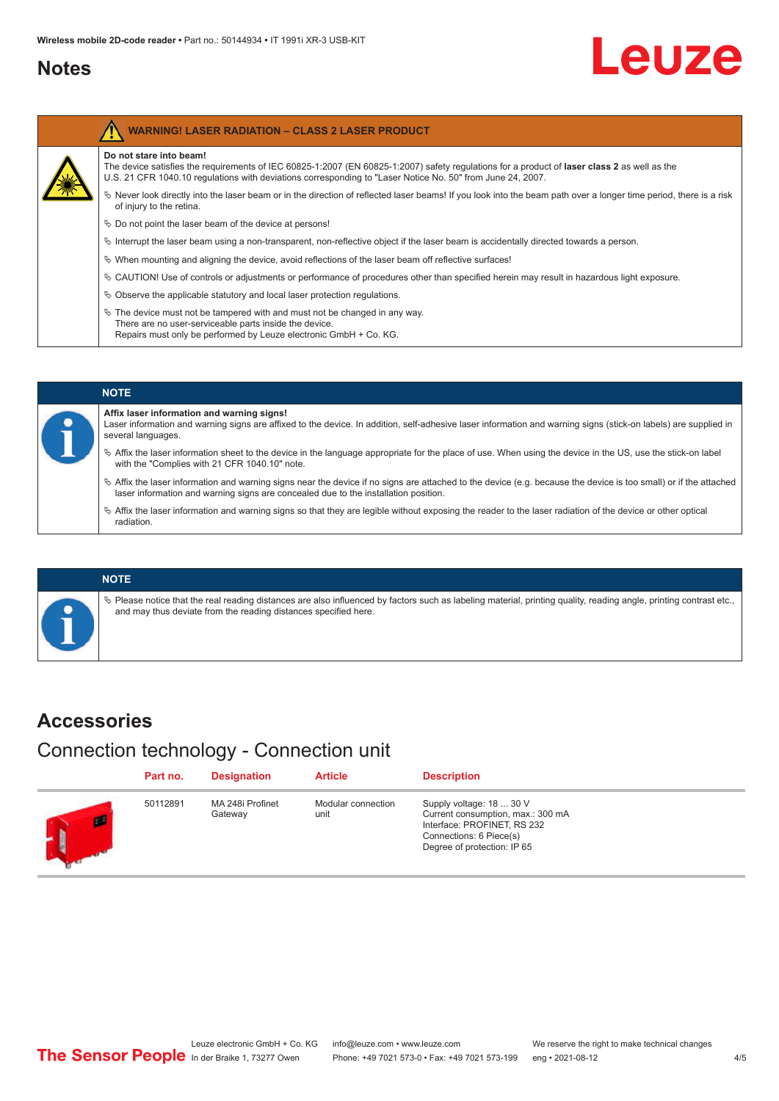#### <span id="page-3-0"></span>**Notes**

# Leuze

| <b>WARNING! LASER RADIATION - CLASS 2 LASER PRODUCT</b>                                                                                                                                                                                                                                      |
|----------------------------------------------------------------------------------------------------------------------------------------------------------------------------------------------------------------------------------------------------------------------------------------------|
| Do not stare into beam!<br>The device satisfies the requirements of IEC 60825-1:2007 (EN 60825-1:2007) safety requiations for a product of <b>laser class 2</b> as well as the<br>U.S. 21 CFR 1040.10 regulations with deviations corresponding to "Laser Notice No. 50" from June 24, 2007. |
| $\%$ Never look directly into the laser beam or in the direction of reflected laser beams! If you look into the beam path over a longer time period, there is a risk<br>of injury to the retina.                                                                                             |
| $\&$ Do not point the laser beam of the device at persons!                                                                                                                                                                                                                                   |
| $\%$ Interrupt the laser beam using a non-transparent, non-reflective object if the laser beam is accidentally directed towards a person.                                                                                                                                                    |
| $\%$ When mounting and aligning the device, avoid reflections of the laser beam off reflective surfaces!                                                                                                                                                                                     |
| $\%$ CAUTION! Use of controls or adjustments or performance of procedures other than specified herein may result in hazardous light exposure.                                                                                                                                                |
| $\&$ Observe the applicable statutory and local laser protection regulations.                                                                                                                                                                                                                |
| $\ddot{\phi}$ The device must not be tampered with and must not be changed in any way.<br>There are no user-serviceable parts inside the device.<br>Repairs must only be performed by Leuze electronic GmbH + Co. KG.                                                                        |



#### **NOTE**

 $\%$  Please notice that the real reading distances are also influenced by factors such as labeling material, printing quality, reading angle, printing contrast etc., and may thus deviate from the reading distances specified here.

#### **Accessories**

Connection technology - Connection unit

| Part no. | <b>Designation</b>          | <b>Article</b>             | <b>Description</b>                                                                                                                                     |
|----------|-----------------------------|----------------------------|--------------------------------------------------------------------------------------------------------------------------------------------------------|
| 50112891 | MA 248i Profinet<br>Gateway | Modular connection<br>unit | Supply voltage: 18  30 V<br>Current consumption, max.: 300 mA<br>Interface: PROFINET, RS 232<br>Connections: 6 Piece(s)<br>Degree of protection: IP 65 |